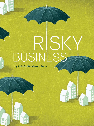# Risky BUSINE

by Kristin Gunderson Hunt

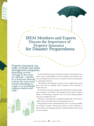IREM Members and Experts Discuss the Importance of Property Insurance for Disaster Preparedness

Property insurance can make or break real estate management companies, depending on their coverage in the event of a disaster—whether it's a hurricane blowing in from the coast town, a flood unleashing its wrath or an earthquake rattling windows and walls.



 Yet, the complicated nature of property insurance, along with the multitude of other responsibilities real estate managers face, hinders many from investing the time and resources needed to ensure their properties are adequately protected.

 "The problem with insurance is it keeps you up at night and you don't know why," said Lou Nimkoff, CPM®, president of Brio Properties in Winter Park, Fla.

 He said many real estate managers, particularly those at small management companies, are "defacto" risk managers, thrown into the responsibility of determining a property's level of risk and finding adequate insurance to mitigate that risk.

 "Insurance is very legal and very detailed," Nimkoff said. "Most of us are asked to take on the duty when we're ill-prepared to do so."

 Being prepared means understanding the types of coverage available, the coverage a property already has in place or needs, exclusions in policies that can be damaging, and how to handle insurance claims in the event of a disaster.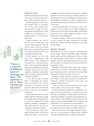### PREVALENT PERILS

Should disaster strike, the major form of insurance on most real estate managers' minds is property insurance.

 Standard property insurance protects against risks to a property, such as fires, some weather damage and theft. Coverage for floods, earthquakes and windstorms is often available via an endorsement to a property policy or as an entirely separate policy.

 Property insurance can come in the form of an all-risk policy, also called an open peril policy, whereby all the causes of loss are covered unless they are specifically excluded; or a named peril policy, which covers only specifically listed risks.

 All-risk policies are the most broad and comprehensive, said David Mistick, CPM, president of Circumspex LLC, a company that provides a web-based disaster planning and recovery application for property managers. He said the only reason companies would select a named peril coverage out policy is if a risk is expressly excluded in their all-risk policy.

> "If the all-risk policy excluded flood or earthquake, the property owner would want to buy a named peril policy to cover these if he was exposed to those risks and the likelihood of occurrence was significant, said Mistick."

> Named perils like flood or earthquake are limited in sales and coverage. For example, flood is all underwritten by FEMA but distributed by private insurance companies. Earthquake is often underwritten by risk pools of companies to spread the exposure.

> As far as limits go, wind, earthquake and flood limits are based on models that analyze a location's sus

ceptibility to particular disasters and estimate a probable timeframe for the next occurrence. Clients usually buy to the 250-year event level for earthquake and wind, based on the probability, according to Al Tobin, managing director and national property practice leader for Aon Risk Services in New York.

 He shared that fire limits are set against values in the simplest way: For example, if your largest building has replacement cost and rents of \$100 million, \$100 million may be your limit. Lenders might also require a certain limit based on any building debt.

 "A property manager, with a broker's assistance, should be able to acquire the right combination of coverage," Mistick said. "The key will be getting them at a price that fits the budget."

## INDECENT EXPOSURE

Deductibles are of course a big part in deciding what fits the budget. Different deductibles apply to different disaster perils, said Ann Butterworth, director of property underwriting in Weston, Mass., for Liberty Mutual Property. Some are percentage based, where one pays a percent of the loss, and others are a flat amount that must be paid upon a loss.

 Regardless, Butterworth said owners and managers need to take into account the deductible when budgeting and determine if they could afford to be financially responsible at that level if a loss was to occur.

 Acquiring adequate property insurance at the right price hinges on a thorough assessment of portfolios, the appropriate valuation of properties, and owners' and managers' appetite for risk.

 "There is no right or wrong," Nimkoff said. "It's a property by property and owner by owner strategy."

 Owners and managers should assess a multitude of variables when determining risks to a property, such as the proximity of a building to a chemical plant that could have a spill, the possibility of a property being targeted by terrorism, the use of their buildings and the associated risks with those uses, and the geography of their properties and whether they are in areas prone to natural disasters.

 "The insured should know where their exposures are and what perils they are subject to," Butterworth said.

 Aside from an owner's or manager's analysis of a property and its risk, insurance companies have modeling tools that will help determine a property's risk profile.



"There is a universe of different types of there. The question to ask is, 'How exposed are you now'?"

MIKE HALVEY, REAL ESTATE PRACTICE LEADER FOR ZURICH NORTH AMERICA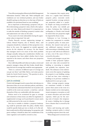"One of the most popular of these tools is Risk Management Information Systems," Tobin said. "Both earthquake and windstorm are very technical products, and your broker should be giving you direction as to what type of limits are available to be purchased based on your modeling."

 Just as important as determining a property's risk profile is determining a property's value, which is the replacement cost value, Butterworth shared. It is important not to make the mistake of thinking a property's market value and replacement cost value are the same.

 "If you want to be truly indemnified, having the appropriate values is important," she said.

 Charles Bauroth, account engineering manager at Liberty Mutual Property, also in Weston, Mass., said companies should do a valuation of their properties every three to five years. He suggested an outside appraisal service do the valuation for accuracy. He also shared that managers need to be aware of how their portfolio changes annually, taking into consideration whether any new properties have been added, whether they've been reported to the insurer, and where those new properties are located.

 Once valid risk profiles and values are in place, owners and property managers, along with their broker, should determine the level of coverage that would be most appropriate.

 "There is a universe of different types of coverage you can get out there," said Mike Halvey, real estate practice leader for Zurich North America. "The question to ask is, 'how exposed are you right now?'"

#### GAPS IN COVERAGE

Owners and managers need to assess their risk tolerance to determine if they are at ease with their policies, said Halvey. They should also understand what their out-of-pocket costs would be in the worst-case scenario—a total loss—and ask themselves if they are comfortable with that amount.

Policies need to be scrutinized for gaps in coverage and exclusions so those items can either be negotiated, or supplemental coverage can be purchased to ensure assets are fully protected in the event of a disaster.

 One area to consider is whether a property's landscaping would be protected under the policy, whether there would be specific limits per tree or shrub, or if a flat sublimit would exist for all the landscaping. For properties with green rooftops, it should be taken into consideration if the entire vegetative roof would be covered in a loss.

 For companies that acquire properties on a regular basis (between property policy renewals) newly acquired location coverage protects any properties added to a portfolio despite not being accounted for when the policy was initially put in place. Exclusions like California earthquakes or Florida wind should be noted if the new properties might be impacted by those events.

 Ordinance or Law Coverage is another key component to consider in a property policy. In many jurisdictions, the insured must pick up any additional expenses incurred with renovating or rebuilding a property up to code with local ordinances or laws, even if the cause of loss is covered by the policy.

 Owners and managers can get into trouble if their projected replacement cost value only accounted for building or renovating to original, and probably less expensive, standards. The ordinance or law endorsement covers the expense of updating the property to any building, zoning or land use laws, since restoring a building to its previous condition is disallowed if it is not up to code.

 Other coverage property managers sometimes consider to further protect their assets in the event of a disaster include service interruption, tenant emergency evacuation, as well as tenant relocation and move-back expenses, which pay for the moving costs of tenants who temporarily vacate a building due to damage from a disaster that is covered by the insurance.

 Halvey said knowing and understanding a property policy is critical to avoiding surprises down the road.

"When things aren't covered, it's not



For help in creating or revising your disaster preparedness manual, check out this IREM publication at *[www.irembooks.](www.irembooks.org) org.*